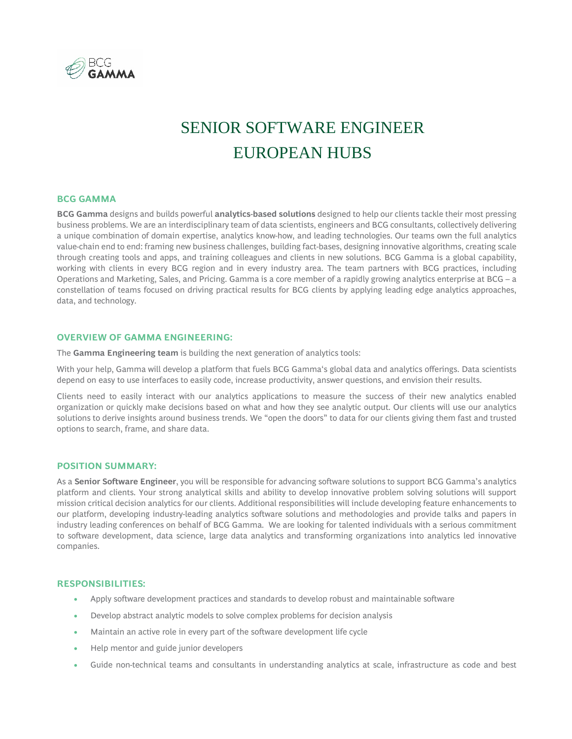

# SENIOR SOFTWARE ENGINEER EUROPEAN HUBS

# **BCG GAMMA**

**BCG Gamma** designs and builds powerful **analytics-based solutions** designed to help our clients tackle their most pressing business problems. We are an interdisciplinary team of data scientists, engineers and BCG consultants, collectively delivering a unique combination of domain expertise, analytics know-how, and leading technologies. Our teams own the full analytics value-chain end to end: framing new business challenges, building fact-bases, designing innovative algorithms, creating scale through creating tools and apps, and training colleagues and clients in new solutions. BCG Gamma is a global capability, working with clients in every BCG region and in every industry area. The team partners with BCG practices, including Operations and Marketing, Sales, and Pricing. Gamma is a core member of a rapidly growing analytics enterprise at BCG – a constellation of teams focused on driving practical results for BCG clients by applying leading edge analytics approaches, data, and technology.

## **OVERVIEW OF GAMMA ENGINEERING:**

The **Gamma Engineering team** is building the next generation of analytics tools:

With your help, Gamma will develop a platform that fuels BCG Gamma's global data and analytics offerings. Data scientists depend on easy to use interfaces to easily code, increase productivity, answer questions, and envision their results.

Clients need to easily interact with our analytics applications to measure the success of their new analytics enabled organization or quickly make decisions based on what and how they see analytic output. Our clients will use our analytics solutions to derive insights around business trends. We "open the doors" to data for our clients giving them fast and trusted options to search, frame, and share data.

#### **POSITION SUMMARY:**

As a **Senior Software Engineer**, you will be responsible for advancing software solutions to support BCG Gamma's analytics platform and clients. Your strong analytical skills and ability to develop innovative problem solving solutions will support mission critical decision analytics for our clients. Additional responsibilities will include developing feature enhancements to our platform, developing industry-leading analytics software solutions and methodologies and provide talks and papers in industry leading conferences on behalf of BCG Gamma. We are looking for talented individuals with a serious commitment to software development, data science, large data analytics and transforming organizations into analytics led innovative companies.

#### **RESPONSIBILITIES:**

- Apply software development practices and standards to develop robust and maintainable software
- Develop abstract analytic models to solve complex problems for decision analysis
- Maintain an active role in every part of the software development life cycle
- Help mentor and guide junior developers
- Guide non-technical teams and consultants in understanding analytics at scale, infrastructure as code and best